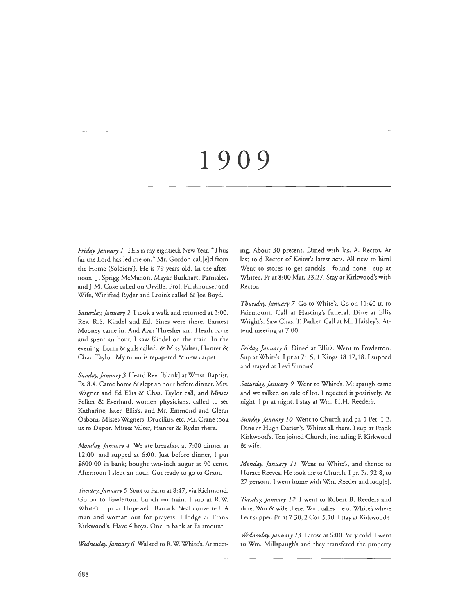# **1909**

*Friday, January 1* This is my eightieth New Year. "Thus far the Lord has led me on." Mr. Gordon call[e]d from the Home (Soldiers'). He is 79 years old. In the afternoon, J. Sprigg McMahon, Mayar Burkhart, Parmalee, and J.M. Coxe called on Orville. Prof. Funkhouser and Wife, Winifred Ryder and Lorin's called & Joe Boyd.

*Saturday, January 2* I cook a walk and returned at 3:00. Rev. R.S. Kindel and Ed. Sines were there. Earnest Mooney came in. And Alan Thresher and Heath came and spent an hour. I saw Kindel on the train. In the evening, Lorin & girls called, & Miss Valter, Hunter & Chas. Taylor. My room is repapered & new carpet.

*Sunday, January 3* Heard Rev. [blank] at Wmst. Baptist, Ps. 8.4. Came home & slept an hour before dinner. Mrs. Wagner and Ed Ellis & Chas. Taylor call, and Misses Felker & Everhard, women physicians, called to see Katharine, later. Eilis's, and Mr. Emmond and Glenn Osborn, Misses Wagners, Drucilius, etc. Mr. Crane cook us to Depot. Misses Valter, Hunter & Ryder there.

*Monday, January 4* We ate breakfast at 7:00 dinner at 12:00, and supped at 6:00. Just before dinner, I put *\$600.00* in bank; bought two-inch augur at 90 cents. Afternoon I slept an hour. Got ready to go to Grant.

*Tiiesday,January 5* Start to Farm at 8:47, via Richmond. Go on to Fowlerton. Lunch on train. I sup at R.W. White's. I pr at Hopewell. Barrack Neal converted. A man and woman out for prayers. I lodge at Frank Kirkwood's. Have 4 boys. One in bank at Fairmount.

*Wednesday.January 6* Walked to R.W. White's. At meet-

ing. About 30 present. Dined with Jas. A. Rector. At last cold Rector of Keiter's latest acts. All new to him! Went to stores to get sandals-found none-sup at White's. Pr at 8:00 Mat. 23.27. Stay at Kirkwood's with Rector.

*Thursday, January 7* Go to White's. Go on 11 :40 tr. to Fairmount. Call at Hasting's funeral. Dine at Ellis Wright's. Saw Chas. T. Parker. Call at Mr. Haisley's. Attend meeting at 7:00.

*Friday, January 8* Dined at Eilis's. Went to Fowlerton. Sup at White's. I pr at 7: 15, I Kings 18.17,18. I supped and stayed at Levi Simons'.

*Saturday, January 9* Went to White's. Milspaugh came and we talked on sale of lot. I rejected it positively. At night, I pr at night. I stay at Wm. H.H. Reeder's.

*Sunday, January 10* Went to Church and pr. 1 Pet. 1.2. Dine at Hugh Darien's. Whites all there. I sup at Frank Kirkwood's. Ten joined Church, including F. Kirkwood &wife.

*Monday, January 11* Went to White's, and thence to Horace Reeves. He took me to Church. I pr. Ps. 92.8, to 27 persons. I went home with Wm. Reeder and lodg[e].

*Tuesday, January 12* I went to Robert B. Reeders and dine. Wm & wife there. Wm. takes me to White's where I eat supper. Pr. at 7:30, 2 Cor. 5.10. I stay at Kirkwood's.

*Wednesday, January 13* I arose at 6:00. Very cold. I went to Wm. Millspaugh's and they transfered the property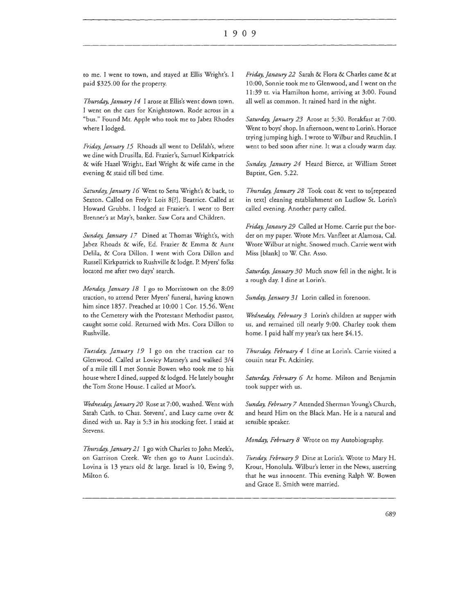to me. I went to town, and stayed at Ellis Wright's. I paid \$325.00 for the property.

*Thursday, January 14* I arose at Eilis's went down town. I went on the cars for Knightstown. Rode across in a "bus." Found Mr. Apple who took me to Jabez Rhodes where I lodged.

*Friday, January 15* Rhoads all went to Delilah's, where we dine with Drusilla, Ed. Frazier's, Samuel Kirkpatrick & wife Hazel Wright, Earl Wright & wife came in the evening & staid till bed time.

*Saturday, January 16* Went to Sena Wright's & back, to Sexton. Called on Frey's: Lois 8[?], Beatrice. Called at Howard Grubbs. I lodged at Frazier's. I went to Bert Brenner's at May's, banker. Saw Cora and Children.

*Sunday, January 17* Dined at Thomas Wright's, with Jabez Rhoads & wife, Ed. Frazier & Emma & Aunt Delila, & Cora Dillon. I went with Cora Dillon and Russell Kirkpatrick to Rushville & lodge. P. Myers' folks located me after two days' search.

*Monday, January 18* I go to Morristown on the 8:09 traction, to attend Peter Myers' funeral, having known him since 1857. Preached at 10:00 I Cor. 15.56. Went to the Cemetery with the Protestant Methodist pastor, caught some cold. Returned with Mrs. Cora Dillon to Rushville.

*Tuesday, January 19* I go on the traction car to Glenwood. Called at Lovicy Marney's and walked 3/4 of a mile till I met Sonnie Bowen who took me to his house where I dined, supped & lodged. He lately bought the Tom Stone House. I called at Moor's.

*Wednesday, January 20* Rose at 7:00, washed. Went with Sarah Cath. to Chas. Stevens', and Lucy came over & dined with us. Ray is 5:3 in his stocking feet. I staid at Stevens.

*Thursday, January 21* I go with Charles to John Meek's, on Garrison Creek. We then go to Aunt Lucinda's. Lovina is 13 years old & large. Israel is 10, Ewing 9, Milton 6.

*Friday, Janaury 22* Sarah & Flora & Charles came & at 10:00, Sonnie took me to Glenwood, and I went on the 11:39 tr. via Hamilton home, arriving at 3:00. Found all well as common. It rained hard in the night.

*Saturday, January 23* Arose at 5:30. Breakfast at 7:00. Went to boys' shop. In afternoon, went to Lorin's. Horace trying jumping high. I wrote to Wilbur and Reuchlin. I went to bed soon after nine. It was a cloudy warm day.

*Sunday, January 24* Heard Bierce, at William Street Baptist, Gen. 5.22.

*Thursday, January 28* Took coat & vest to to[repeated in text] cleaning establishment on Ludlow St. Lorin's called evening. Another party called.

*Friday, Janaury 29* Called at Home. Carrie put the border on my paper. Wrote Mrs. Vanfleet at Alamosa, Cal. Wrote Wilbur at night. Snowed much. Carrie went with Miss [blank] to W. Chr. Asso.

*Saturday, January 30* Much snow fell in the night. It is a rough day. I dine at Lorin's.

*Sunday, January 31* Lorin called in forenoon.

*Wednesday, February 3* Lorin's children at supper with us, and remained till nearly 9:00. Charley took them home. I paid half my year's tax here \$4.15.

*Thursday, February 4* I dine at Lorin's. Carrie visited a cousin near Ft. Ackinley.

*Saturday, February 6* At home. Milton and Benjamin took supper with us.

*Sunday, February 7* Attended Sherman Young's Church, and heard Him on the Black Man. He is a natural and sensible speaker.

*Monday, February 8* Wrote on my Autobiography.

*Tuesday, February 9* Dine at Lorin's. Wrote to Mary H. Krout, Honolula. Wilbur's letter in the News, asserting that he was innocent. This evening Ralph W. Bowen and Grace E. Smith were married.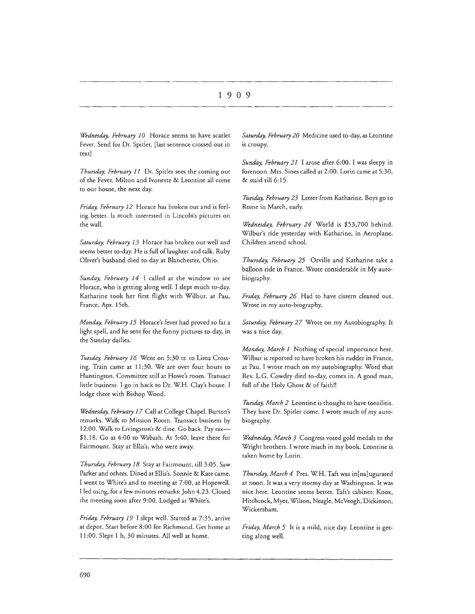# I 9 0 9

*Wednesday, February JO* Horace seems to have scarlet Fever. Send for Or. Spitler. [last sentence crossed out in text]

*Thursday, February 11* Dr. Spitler sees the coming out of the Fever. Milton and Ivonette & Leontine all come to our house, the next day.

*Friday, February 12* Horace has broken out and is feeling better. Is much interested in Lincoln's pictures on the wall.

*Saturday, February 13* Horace has broken out well and seems better to-day. He is full of laughter and talk. Ruby Oliver's husband died to-day at Blanchester, Ohio.

*Sunday, February 14* I called at the window ro see Horace, who is getting along well. I slept much to-day. Katharine took her first flight with Wilbur, at Pau, France, Apr. 15th.

*Monday, February 15* Horace's fever had proved so far a light spell, and he sent for the funny pictures to-day, in the Sunday dailies.

*Tuesday, February 16* Went on 5:30 tr. to Lima Crossing. Train came at 11:30. We are over four hours to Huntington. Committee still at Howe's room. Transact little business. I go in hack to Dr. W.H. Clay's house. I lodge there with Bishop Wood.

*Wednesday, February 17* Call at College Chapel. Burton's remarks. Walk to Mission Room. Transact business by 12:00. Walk to Livingston's & dine. Go back. Pay tax-\$1.18. Go at 4:00 to Wabash. At 5:40, leave there for Fairmount. Stay at Ellis's, who were away.

*Thursday, February 18* Stay at Fairmount, till 3:05. Saw Parker and others. Dined at Eilis's. Sonnie & Kate came. I went to White's and to meeting at 7:00, at Hopewell. I led using, for a few minutes remarks: John 4.23. Closed the meeting soon after 9:00. Lodged at White's.

*Friday, February 19* I slept well. Started at 7:35, arrive at depot. Start before 8:00 for Richmond. Gee home at 11:00. Slept 1 h, 30 minutes. All well at home.

*Saturday, February 20* Medicine used to-day, as Leontine is croupy.

*Sunday, February 21* I arose after 6:00. I was sleepy in forenoon. Mrs. Sines called at 2:00. Lorin came at 5:30, & staid till 6: 15.

*'Tuesday, February 23* Letter from Katharine. Boys go to Rome in March, early.

*Wednesday, February 24* World is \$53,700 behind. Wilbur's ride yesterday with Katharine, in Aeroplane. Children attend school.

*Thursday, February 25* Orville and Katharine take a balloon ride in France. Wrote considerable in My autobiography.

*Friday, February 26* Had to have cistern cleaned out. Wrote in my auto-biography.

*Saturday, February 27* Wrote on my Autobiography. It was a nice day.

*Monday, March 1* Nothing of special importance here. Wilbur is reported to have broken his rudder in France, at Pau. I wrote much on my autobiography. Word that Rev. L.G. Cowdry died to-day, comes in. A good man, full of the Holy Ghost & of faith!!

*Tuesday, March 2* Leontine is thought to have tonsilitis. They have Or. Spitler come. I wrote much of my autobiography.

*Wednesday, March 3* Congress voted gold medals to the Wright brothers. I wrote much in my book. Leontine is taken home by Lorin.

*Thursday, March 4* Pres. W.H. Taft was in[na]ugurated at noon. It was a very stormy day at Washington. It was nice here. Leontine seems better. Taft's cabinet: Knox, Hitchcock, Myer, Wilson, Neagle, McVeogh, Dickinson, Wickersham.

*Friday, March 5* It is a mild, nice day. Leontine is getting along well.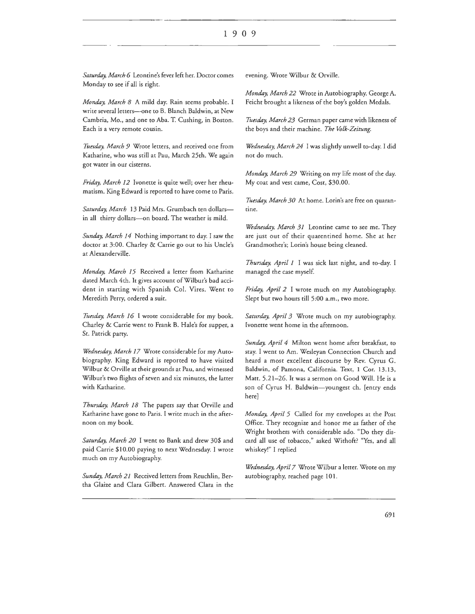*Saturday. March 6* Leontine's fever left her. Doctor comes Monday to see if all is right.

*Monday. March 8* A mild day. Rain seems probable. I write several letters-one to B. Blanch Baldwin, at New Cambria, Mo., and one to Aha. T. Cushing, in Boston. Each is a very remote cousin.

Tuesday, March 9 Wrote letters, and received one from Katharine, who was still at Pau, March 25th. We again got water in our cisterns.

*Friday, March 12* Ivonette is quite well; over her rheumatism. King Edward is reported to have come to Paris.

Saturday, March 13 Paid Mrs. Grumbach ten dollarsin all thirty dollars-on board. The weather is mild.

*Sunday, March 14* Nothing important to day. I saw the doctor at 3:00. Charley & Carrie go out to his Uncle's at Alexanderville.

*Monday, March 15* Received a letter from Katharine dated March 4th. It gives account of Wilbur's bad accident in starting with Spanish Col. Vires. Went to Meredith Perry, ordered a suit.

Tuesday, March 16 I wrote considerable for my book. Charley & Carrie went to Frank B. Hale's for supper, a St. Patrick party.

*Wednesday, March 17* Wrote considerable for my Autobiography. King Edward is reported to have visited Wilbur & Orville at their grounds at Pau, and witnessed Wilbur's two flights of seven and six minutes, the latter with Katharine.

*Thursday. March 18* The papers say that Orville and Katharine have gone to Paris. I write much in the afternoon on my book.

*Saturday. March 20* I went to Bank and drew 30\$ and paid Carrie \$10.00 paying to next Wednesday. I wrote much on my Autobiography.

*Sunday, March 21* Received letters from Reuchlin, Bertha Glaize and Clara Gilbert. Answered Clara in the evening. Wrote Wilbur & Orville.

*Monday, March 22* Wrote in Autobiography. George A. Feicht brought a likeness of the boy's golden Medals.

*Tuesday, March 23* German paper came with likeness of the boys and their machine. The Volk-Zeitung.

*Wednesday. March 24* I was slightly unwell to-day. I did not do much.

*Monday. March 29* Writing on my life most of the day. My coat and vest came, Cost, \$30.00.

*Ttiesday, March 30* At home. Lorin's are free on quarantine.

*Wednesday. March 31* Leontine came to see me. They are just out of their quarentined home. She at her Grandmother's; Lorin's house being cleaned.

*Thursday, April 1* I was sick last night, and to-day. I managed the case myself.

*Friday, April 2* I wrote much on my Autobiography. Slept but two hours till 5:00 a.m., two more.

*Saturday. April 3* Wrote much on my autobiography. lvonette went home in the afternoon.

*Sunday. April 4* Milton went home after breakfast, to stay. I went to Am. Wesleyan Connection Church and heard a most excellent discourse by Rev. Cyrus G. Baldwin, of Pamona, California. Text, 1 Cor. 13.13, Matt. 5.21-26. It was a sermon on Good Will. He is a son of Cyrus H. Baldwin- youngest ch. [entry ends here]

*Monday. April 5* Called for my envelopes at the Post Office. They recognize and honor me as father of the Wright brothers with considerable ado. "Do they discard all use of tobacco," asked Withoft? "Yes, and all whiskey!" I replied

*Wednesday. April 7* Wrote Wilbur a letter. Wrote on my autobiography, reached page 101.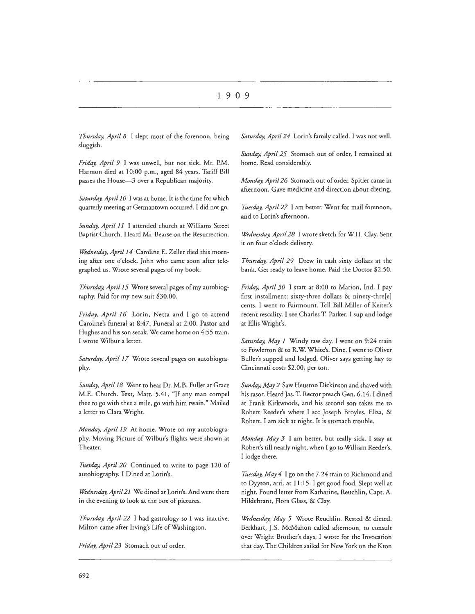*Thursday, April 8* I slept most of the forenoon, being sluggish.

*Friday, April 9* I was unwell, but not sick. Mr. P.M. Harmon died at 10:00 p.m., aged 84 years. Tariff Bill passes the House-3 over a Republican majority.

*Saturday, April JO* I was at home. It is the time for which quarterly meeting at Germantown occurred. I did not go.

*Sunday, April 11* I attended church at Williams Street Baptist Church. Heard Mr. Bearse on the Resurrection.

*Wednesday, April 14* Caroline E. Zeller died this morning after one o'clock. John who came soon after telegraphed us. Wrote several pages of my book.

*Thursday, April 15* Wrote several pages of my autobiography. Paid for my new suit \$30.00.

*Friday, April 16* Lorin, Netta and I go to attend Caroline's funeral at 8:47. Funeral at 2:00. Pastor and Hughes and his son seeak. We came home on 4:55 train. I wrote Wilbur a letter.

*Saturday, April 17* Wrote several pages on autobiography.

*Sunday, April 18* Went to hear Dr. M.B. Fuller at Grace M.E. Church. Text, Matt. 5.41, "If any man compel thee to go with thee a mile, go with him twain." Mailed a letter to Clara Wright.

*Monday, April 19* At home. Wrote on my autobiography. Moving Picture of Wilbur's flights were shown at Theater.

Tuesday, April 20 Continued to write to page 120 of autobiography. I Dined at Lorin's.

*Wednesday, April21* We dined at Lorin's. And went there in the evening to look at the box of pictures.

*Thursday, April 22* I had gastrology so I was inactive. Milton came after Irving's Life of Washington.

*Friday, April 23* Stomach out of order.

*Saturday, April 24* Lorin's family called. I was not well.

*Sunday, April 25* Stomach out of order, I remained at home. Read considerably.

*Monday, April 26* Stomach our of order. Spider came in afternoon. Gave medicine and direction about dieting.

*Ttusday, April 27* I am better. Went for mail forenoon, and to Lorin's afternoon.

*Wednesday, April 28* I wrote sketch for W.H. Clay. Sent it on four o'clock delivery.

*Thursday, April 29* Drew in cash sixty dollars at the bank. Get ready to leave home. Paid the Doctor \$2.50.

*Friday, April 30* I start at 8:00 to Marion, Ind. I pay first installment: sixty-three dollars & ninety-thre[e] cents. I went to Fairmount. Tell Bill Miller of Keiter's recent rescality. I see Charles T. Parker. I sup and lodge at Ellis Wright's.

*Saturday, May 1* Windy raw day. I went on 9:24 train to Fowlerton & to R.W White's. Dine. I went to Oliver Buller's supped and lodged. Oliver says getting hay to Cincinnati costs \$2.00, per ton.

*Sunday, May 2* Saw Heuston Dickinson and shaved with his rasor. Heard Jas. T. Rector preach Gen. 6.14. I dined at Frank Kirkwoods, and his second son takes me to Robert Reeder's where I see Joseph Broyles, Eliza, & Robert. I am sick at night. It is stomach trouble.

*Monday, May 3* I am better, but really sick. I stay at Robert's till nearly night, when I go to William Reeder's. I lodge there.

*Ttwday, May 4* I go on the 7 .24 train to Richmond and to Dyyton, arri. at I1:15. I get good food. Slept well at night. Found letter from Katharine, Reuchlin, Capt. A. Hildebrant, Flora Glass, & Clay.

*Wednesday, May 5* Wrote Reuchlin. Rested & dieted. Berkharr, J.S. McMahon called afternoon, to consult over Wright Brother's days, I wrote for the Invocation that day. The Children sailed for New York on the Kron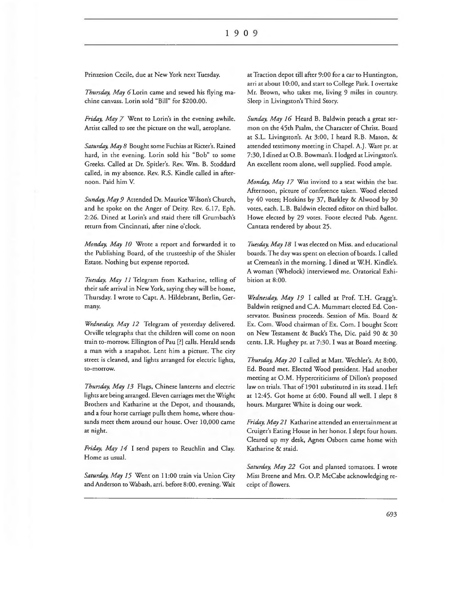Prinzesion Cecile, due at New York next Tuesday.

*Thursday, May* 6Lorin came and sewed his flying machine canvass. Lorin sold "Bill" for \$200.00.

*Friday, May 7* Went to Lorin's in the evening awhile. Artist called to see the picture on the wall, aeroplane.

*Saturday, May 8* Bought some Fuchias at Ricter's. Rained hard, in the evening. Lorin sold his "Bob" ro some Greeks. Called at Dr. Spider's. Rev. Wm. B. Stoddard called, in my absence. Rev. R.S. Kindle called in afternoon. Paid him V.

*Sunday, May 9* Attended Dr. Maurice Wilson's Church, and he spoke on the Anger of Deity. Rev. 6.17, Eph. 2:26. Dined at Lorin's and staid there till Grumbach's return from Cincinnati, after nine o'clock.

*Monday, May 10* Wrote a report and forwarded it to the Publishing Board, of the trusteeship of the Shisler Estate. Nothing but expense reported.

*Ttiesday, May 11* Telegram from Katharine, telling of their safe arrival in New York, saying they will be home, Thursday. I wrote to Capt. A. Hildebrant, Berlin, Germany.

*Wednesday, May 12* Telegram of yesterday delivered. Orville telegraphs that the children will come on noon train to-morrow. Ellington of Pau [?] calls. Herald sends a man with a snapshot. Lent him a picture. The city street is cleaned, and lights arranged for electric lights, to-morrow.

*Thursday, May 13* Flags, Chinese lanterns and electric lights are being arranged. Eleven carriages met the Wright Brothers and Katharine at the Depot, and thousands, and a four horse carriage pulls them home, where thousands meet them around our house. Over 10,000 came at night.

*Friday, May 14* I send papers to Reuchlin and Clay. Home as usual.

Saturday, May 15 Went on 11:00 train via Union City and Anderson to Wabash, arri. before 8:00, evening. Wait at Traction depot till after 9:00 for a car to Huntington, arri at about 10:00, and start to College Park. I overtake Mr. Brown, who takes me, living 9 miles in country. Sleep in Livingston's Third Story.

*Sunday, May 16* Heard B. Baldwin preach a great sermon on the 45th Psalm, the Character of Christ. Board at S.L. Livingston's. At 3:00, I heard R.B. Mason, & attended testimony meeting in Chapel. A.J. Ware pr. at 7:30, I dined at 0.B. Bowman's. I lodged at Livingston's. An excellent room alone, well supplied. Food ample.

*Monday, May 17* Was invited to a seat within the bar. Afternoon, picture of conference taken. Wood elected by 40 votes; Hoskins by 37, Barkley & Alwood by 30 votes, each. L.B. Baldwin elected editor on third ballot. Howe elected by 29 votes. Foote elected Pub. Agent. Cantata rendered by about 25.

*Tuesday, May 18* I was elected on Miss. and educational boards. The day was spent on election of boards. I called at Cremean's in the morning. I dined at W.H. Kindle's. A woman (Whelock) interviewed me. Oratorical Exhibition at 8:00.

*Wednesday, May 19* I called at Prof. T.H. Gragg's. Baldwin resigned and C.A. Mummart elected Ed. Conservator. Business proceeds. Session of Mis. Board & Ex. Com. Wood chairman of Ex. Com. I bought Scott on New Testament & Buck's The, Die. paid 90 & 30 cents. LR. Hughey pr. at 7:30. I was at Board meeting.

*Thursday, May 20* I called at Matt. Wechler's. At 8:00, Ed. Board met. Elected Wood president. Had another meeting at O.M. Hypercriticisms of Dillon's proposed law on trials. That of 1901 substituted in its stead. I left at 12:45. Got home at 6:00. Found all well. I slept 8 hours. Margaret White is doing our work.

*Friday, May 21* Katharine attended an entertainment at Cruiger's Eating House in her honor. I slept four hours. Cleared up my desk, Agnes Osborn came home with Katharine & staid.

Saturday, May 22 Got and planted tomatoes. I wrote Miss Breene and Mrs. O.P. McCabe acknowledging receipt of flowers.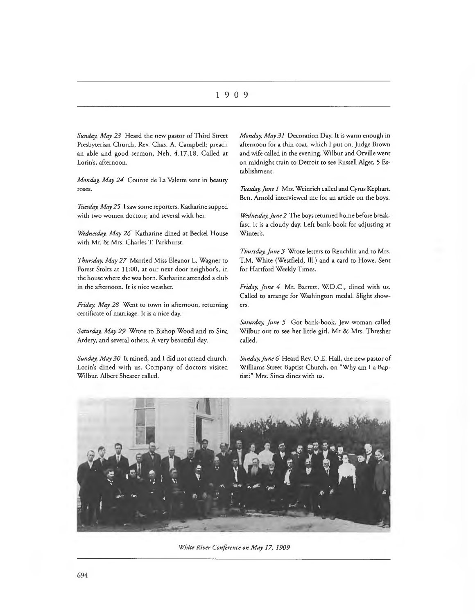*Sunday, May 23* Heard the new pastor of Third Street Presbyterian Church, Rev. Chas. A. Campbell; preach an able and good sermon, Neh. 4.17, 18. Called at Lorin's, afternoon.

*Monday, May 24* Counte de La Valette sent in beauty roses.

*Tuesday, May 25* I saw some reporters. Katharine supped with two women doctors; and several with her.

*Wednesday, May 26* Katharine dined at Beckel House with Mr. & Mrs. Charles T. Parkhurst.

*Thursday, May 27* Married Miss Eleanor L. Wagner to Forest Stoltz at 11:00, at our next door neighbor's, in the house where she was born. Katharine attended a club in the afternoon. It is nice weather.

*Friday, May 28* Went to town in afternoon, returning certificate of marriage. It is a nice day.

*Saturday, May 29* Wrote to Bishop Wood and to Sina Ardery, and several others. A very beautiful day.

*Sunday, May 30* It rained, and I did not attend church. Lorin's dined with us. Company of doctors visited Wilbur. Albert Shearer called.

*Monday, May 31* Decoration Day. It is warm enough in afternoon for a thin coat, which I put on. Judge Brown and wife called in the evening. Wilbur and Orville went on midnight train to Detroit to see Russell Alger, 5 Establishment.

*Tuesday, June 1* Mrs. Weinrich called and Cyrus Kephart. Ben. Arnold interviewed me for an article on the boys.

*Wednesday, June 2* The boys returned home before breakfast. It is a cloudy day. Left bank-book for adjusting at Winter's.

*Thursday, June 3* Wrote letters to Reuchlin and to Mrs. T.M. White (Westfield, Ill.) and a card to Howe. Sent for Hartford Weekly Times.

*Friday, June 4* Mr. Barrett, W.D.C., dined with us. Called to arrange for Washington medal. Slight showers.

*Saturday, June 5* Got bank-book. Jew woman called Wilbur out to see her little girl. Mr & Mrs. Thresher called.

*Sunday, June 6* Heard Rev. O.E. Hall, the new pastor of Williams Street Baptist Church, on "Why am I a Baptist?" Mrs. Sines dines with us.



*White River Conference on May 17, 1909*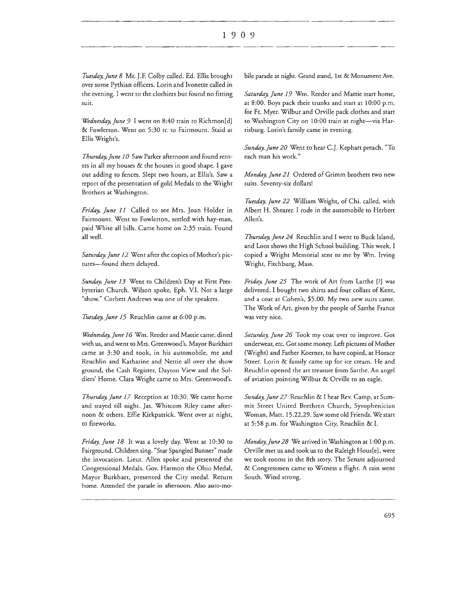*Tuesday, June 8 Mr. J.F. Colby called. Ed. Ellis brought* over some Pyrhian officers. Lorin and lvonette called in the evening. I went to the clothiers but found no fitting suit.

*Wednesday, June 9* I went on 8:40 train to Richmon[d] & Fowlerton. Went on 5:30 tr. to Fairmount. Staid at Ellis Wright's.

*Thursday.June* JO Saw Parker afternoon and found renters in all my houses & the houses in good shape. I gave out adding to fences. Slept two hours, at Eilis's. Saw a report of the presentation of gold Medals to the Wright Brothers at Washington.

*Friday, June* 11 Called to see Mrs. Joan Holder in Fairmount. Went to Fowlerton, settled with hay-man, paid White all bills. Came home on 2:35 train. Found all well.

Saturday, June 12 Went after the copies of Mother's pictures-found them delayed.

*Sunday, June* 13 Went to Children's Day at First Presbyterian Church. Wilson spoke, Eph. V.I. Not a large "show." Corbett Andrews was one of the speakers.

Tuesday, June 15 Reuchlin came at 6:00 p.m.

*Wednesday. June* 16 Wm. Reeder and Mattie came, dined with us, and went to Mrs. Greenwood's. Mayor Burkhart came at 3:30 and took, in his automobile, me and Reuchlin and Katharine and Nettie all over the show ground, the Cash Register, Dayton View and the Soldiers' Home. Clara Wright came to Mrs. Greenwood's.

*Thursday. June* 17 Reception at 10:30. We came home and stayed till night. Jas. Whitcom Riley came afternoon & others. Effie Kirkpatrick. Went over at night, to fireworks.

*Friday, June* 18 It was a lovely day. Went at 10:30 to Fairground. Children sing. "Star Spangled Banner" made the invocation. Lieut. Allen spoke and presented the Congressional Medals. Gov. Harmon the Ohio Medal, Mayor Burkhart, presented the City medal. Return home. Attended the parade in afternoon. Also auto-mobile parade at night. Grand stand, 1st & Monument Ave.

*Saturday, June* 19 Wm. Reeder and Mattie start home, at 8:00. Boys pack their trunks and start at 10:00 p.m. for Ft. Myer. Wilbur and Orville pack clothes and start to Washington City on 10:00 train at night-via Harrisburg. Lorin's family came in evening.

*Sunday, June 20* Went to hear C.J. Kephart preach, "To each man his work."

*Monday. June 21* Ordered of Grimm brothers two new suits. Seventy-six dollars!

*Tuesday. June 22* William Wright, of Chi. called, with Albert H. Shearer. I rode in the automobile to Herbert Allen's.

*Thursday, June 24* Reuchlin and I went to Buck Island, and Loos shows the High School building. This week, I copied a Wright Memorial sent to me by Wm. Irving Wright, Fitchburg, Mass.

*Friday, June 25* The work of Art from Larthe [?] was delivered. I bought two shires and four collars of Kent, and a coat at Cohen's, \$5.00. My two new suits came. The Work of Art, given by the people of Sarthe France was very nice.

*Saturday, June 26* Took my coat over to improve. Got underwear, etc. Got some money. Left pictures of Mother (Wright) and Father Koerner, to have copied, at Horace Street. Lorin & family came up for ice cream. He and Reuchlin opened the art treasure from Sarche. An angel of aviation pointing Wilbur & Orville to an eagle.

*Sunday, June 27* Reuchlin & I hear Rev. Camp, at Summit Street United Brethren Church, Syrophenician Woman, Matt. 15.22,29. Saw some old Friends. We start at 5:58 p.m. for Washington City, Reuchlin & I.

*Monday, June 28* We arrived in Washington at 1:00 p.m. Orville met us and took us to the Raleigh Hous[e], were we took rooms in the 8th story. The Senate adjourned & Congressmen came to Witness a flight. A rain went South. Wind strong.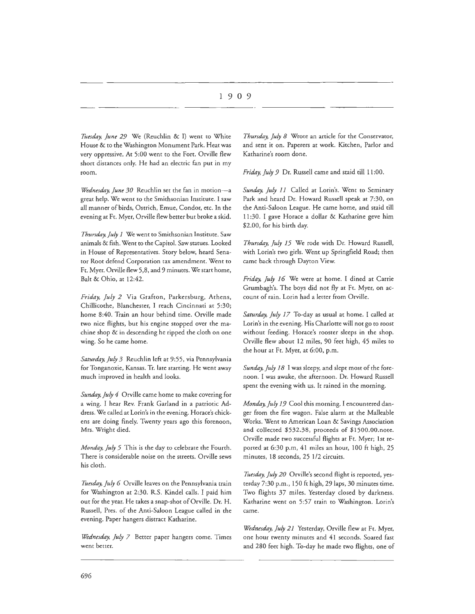*Tttesday, June 29* We (Reuchlin & I) went to White House & to the Washington Monument Park. Heat was very oppressive. At 5:00 went to the Fort. Orville flew short distances only. He had an electric fan put in my room.

*Wednesday, June 30* Reuchlin set the fan in motion-a great help. We went to the Smithsonian Institute. I saw all manner of birds, Ostrich, Emue, Condor, etc. In the evening at Fr. Myer, Orville flew better bur broke a skid.

*Thursday, July 1* We went to Smithsonian Institute. Saw animals & fish. Went to the Capitol. Saw statues. Looked in House of Representatives. Story below, heard Senator Root defend Corporation tax amendment. Went to Ft. Myer. Orville flew 5,8, and 9 minutes. We start home, Bait & Ohio, ar 12:42.

*Friday, July 2* Via Grafton, Parkersburg, Athens, Chillicothe, Blanchester, I reach Cincinnati at 5:30; home 8:40. Train an hour behind time. Orville made two nice flights, but his engine stopped over the machine shop & in descending he ripped the cloth on one wing. So he came home.

*Saturday, July 3* Reuchlin left at 9:55, via Pennsylvania for Tonganoxie, Kansas. Tr. late starting. He went away much improved in health and looks.

*Sunday, July 4* Orville came home to make covering for a wing. I hear Rev. Frank Garland in a patriotic Address. We called at Lorin's in the evening. Horace's chickens are doing finely. Twenty years ago this forenoon, Mrs. Wright died.

*Monday, July 5* This is the day to celebrate the Fourth. There is considerable noise on the streets. Orville sews his cloth.

*Tuesday, July 6* Orville leaves on the Pennsylvania train for Washington at 2:30. R.S. Kindel calls. I paid him our for the year. He takes a snap-shot of Orville. Dr. H. Russell, Pres. of the Anti-Saloon League called in the evening. Paper hangers distract Katharine.

*Wednesday, July 7* Better paper hangers come. Times went better.

*Thursday, July 8* Wrote an article for the Conservator, and sent it on. Paperers at work. Kitchen, Parlor and Katharine's room done.

*Friday, July 9* Dr. Russell came and staid till 11 :00.

*Sunday, July 11* Called at Lorin's. Went to Seminary Park and heard Dr. Howard Russell speak at 7:30, on the Anti-Saloon League. He came home, and staid rill 11 :30. I gave Horace a dollar & Katharine geve him \$2.00, for his birth day.

*Thimday, July 15* We rode with Dr. Howard Russell, with Lorin's two girls. Went up Springfield Road; then came back through Dayton View.

*Friday, July 16* We were at home. I dined at Carrie Grumbagh's. The boys did not fly at Ft. Myer, on account of rain. Lorin had a letter from Orville.

*Saturday, July 17* To-day as usual at home. I called at Lorin's in the evening. His Charlotte will nor go to roost without feeding. Horace's rooster sleeps in the shop. Orville flew about 12 miles, 90 feet high, 45 miles to the hour at Ft. Myer, at 6:00, p.m.

*Sunday, July 18* I was sleepy, and slept most of the forenoon. I was awake, the afternoon. Dr. Howard Russell spent the evening with us. Ir rained in the morning.

*Monday, July 19* Cool this morning. I encountered danger from the fire wagon. False alarm at the Malleable Works. Went to American Loan & Savings Association and collected \$532.38, proceeds of \$1500.00.note. Orville made two successful flights at Ft. Myer; 1st reported at 6:30 p.m, 41 miles an hour, 100 ft high, 25 minutes, 18 seconds, 25 1/2 circuits.

Tuesday, July 20 Orville's second flight is reported, yesterday 7:30 p.m., 150 ft high, 29 laps, 30 minutes time. Two flights 37 miles. Yesterday closed by darkness. Katharine went on 5:57 train to Washington. Lorin's came.

*Wednesday, July 21* Yesterday, Orville flew at Fr. Myer, one hour twenty minutes and 4I seconds. Soared fast and 280 feet high. To-day he made two flights, one of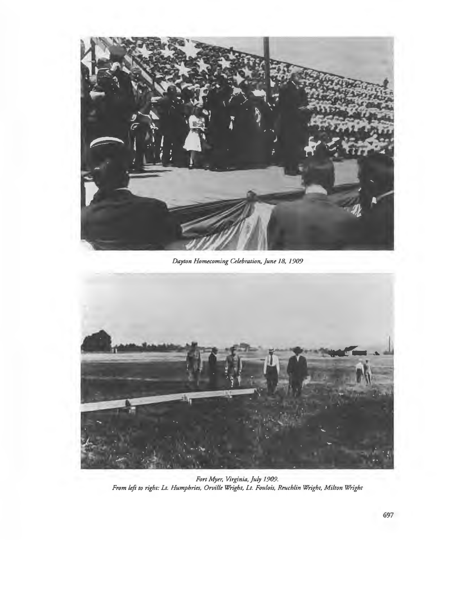

*Dayton Homecoming Celebration, June 18, 1909* 



*Fort Myer, Virginia, July 1909. From left to right: Lt. Humphries, Orville Wright, Lt. Foulois, Rmchlin Wright, Milton Wright*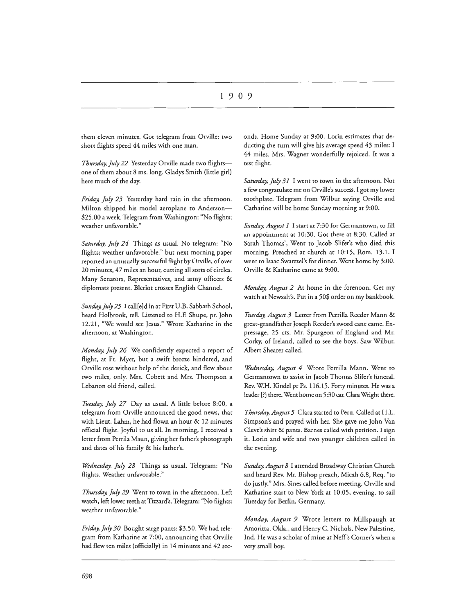them eleven minutes. Got telegram from Orville: two short flights speed 44 miles with one man.

*Thursday, July 22* Yesterday Orville made two flightsone of them about 8 ms. long. Gladys Smith {little girl) here much of the day.

*Friday, July 23* Yesterday hard rain in the afternoon. Milton shipped his model aeroplane to Anderson-\$25.00 a week. Telegram from Washington: "No flights; weather unfavorable."

*Saturday, July 24* Things as usual. No telegram: "No flights; weather unfavorable." but next morning paper reported an unusually successful flight by Orville, of over 20 minutes, 47 miles an hour, cutting all sorts of circles. Many Senators, Representatives, and army officers & diplomats present. Bleriot crosses English Channel.

*Sunday.July 25* I call[e]d in at First U.B. Sabbath School, heard Holbrook, tell. Listened to H.F. Shupe, pr. John 12.21, "We would see Jesus." Wrote Katharine in the afrernoon, at Washington.

*Monday, July 26* We confidently expected a report of flight, at Ft. Myer, but a swift breeze hindered, and Orville rose without help of the derick, and flew about two miles, only. Mrs. Cobert and Mrs. Thompson a Lebanon old friend, called.

*Tuesday, July 27* Day as usual. A little before 8:00, a telegram from Orville announced the good news, that with Lieut. Lahm, he had flown an hour & 12 minutes official flight. Joyful to us all. In morning, I received a letter from Perrila Maun, giving her father's photograph and dates of his family & his father's.

*Wednesday, July 28* Things as usual. Telegram: "No flights. Weather unfavorable."

Thursday, July 29 Went to town in the afternoon. Left watch, left lower teeth at Tizzard's. Telegram: "No flights: weather unfavorable."

*Friday, July 30* Bought sarge pants: \$3.50. We had telegram from Katharine at 7:00, announcing that Orville had flew ten miles (officially) in 14 minutes and 42 seconds. Home Sunday at 9:00. Lorin estimates that deducting the turn will give his average speed 43 miles: I 44 miles. Mrs. Wagner wonderfully rejoiced. It was a test flight.

*Saturday, July 31* I went to town in the afternoon. Not a few congratulate me on Orville's success. I got my lower toothplate. Telegram from Wilbur saying Orville and Catharine will be home Sunday morning at 9:00.

*Sunday, August 1* I start at 7:30 for Germantown, to fill an appointment at 10:30. Got there at 8:30. Called at Sarah Thomas', Went to Jacob Slifer's who died this morning. Preached at church at 10:15, Rom. 13.1. I went to Isaac Swartzel's for dinner. Went home by 3:00. Orville & Katharine came at 9:00.

*Monday, August 2* Ar home in the forenoon. Ger my watch at Newsalt's. Put in a 50\$ order on my bankbook.

*Tuesday, August 3* Letter from Perrilla Reeder Mann & great-grandfather Joseph Reeder's sword cane came. Expressage, 25 crs. Mr. Spurgeon of England and Mr. Corky, of Ireland, called to see the boys. Saw Wilbur. Albert Shearer called.

*Wednesday, August 4* Wrote Perrilla Mann. Went ro Germantown to assist in Jacob Thomas Slifer's funeral. Rev. W.H. Kindel pr Ps. 116.15. Forty minutes. He was a leader [?] there. Went home on 5:30 car. Clara Wright there.

*Thursday, August 5* Clara started to Peru. Called at H.L. Simpson's and prayed with her. She gave me John Van Cleve's shirr & pants. Barnes called with petition. I sign it. Lorin and wife and two younger children called in the evening.

*Sunday, August 8* I attended Broadway Christian Church and heard Rev. Mr. Bishop preach, Micah 6.8, Req. "to do justly." Mrs. Sines called before meeting. Orville and Katharine start to New York at 10:05, evening, to sail Tuesday for Berlin, Germany.

*Monday, August 9* Wrote letters to Millspaugh at Amoritta, Okla., and Henry C. Nichols, New Palestine, Ind. He was a scholar of mine at Neff's Corner's when a very small boy.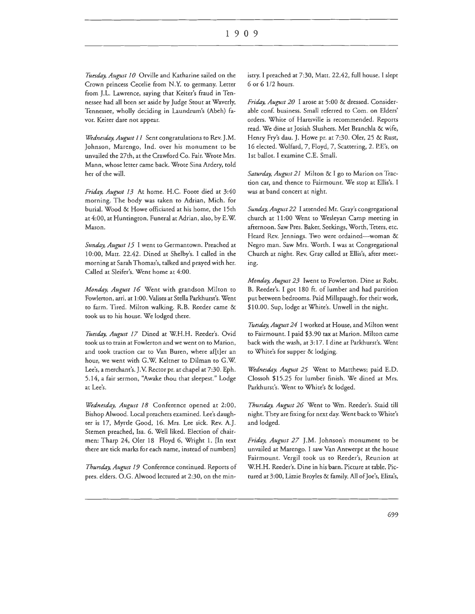#### I 9 0 9

*Ttusday, August I 0* Orville and Katharine sailed on the Crown princess Cecelie from N.Y. to germany. Letter from J.L. Lawrence, saying that Keiter's fraud in Tennessee had all been set aside by Judge Stout at Waverly, Tennessee, wholly deciding in Laundrum's (Abeh) favor. Keiter dare not appear.

*Wednesday, August 11* Sent congratulations to Rev. J.M. Johnson, Marengo, Ind. over his monument to be unvailed the 27th, at the Crawford Co. Fair. Wrote Mrs. Mann, whose letter came back. Wrote Sina Ardery, told her of the will.

*Friday, August 13* At home. H.C. Foote died at 3:40 morning. The body was taken to Adrian, Mich. for burial. Wood & Howe officiated at his home, the 15th at 4:00, at Huntington. Funeral at Adrian, also, by E.W. Mason.

*Sunday, August 15* I went to Germantown. Preached at 10:00, Matt. 22.42. Dined at Shelby's. I called in the morning at Sarah Thomas's, talked and prayed with her. Called at Sleifer's. Went home at 4:00.

*Monday, August 16* Went with grandson Milton to Fowlerton, arri. at 1 :00. Valises at Stella Parkhurst's. Went to farm. Tired. Milton walking. R.B. Reeder came & rook us to his house. We lodged there.

*Tuesday, August 17* Dined at W.H.H. Reeder's. Ovid took us to train at Fowlerton and we went on to Marion, and took traction car to Van Buren, where af[t]er an hour, we went with G.W. Keltner to Oilman to G.W. Lee's, a merchant's. J.V. Rector pr. at chapel at 7:30. Eph. 5.14, a fair sermon, "Awake thou that sleepest." Lodge at Lee's.

*Wednesday, August 18* Conference opened at 2:00, Bishop Alwood. Local preachers examined. Lee's daughter is 17, Myrtle Good, 16. Mrs. Lee sick. Rev. A.J. Stemen preached, Isa. 6. Well liked. Election of chairmen: Tharp 24, Oler 18 Floyd 6, Wright 1. [In text there are tick marks for each name, instead of numbers]

*Thursday, August 19* Conference continued. Reports of pres. elders. O.G. Alwood lectured at 2:30, on the ministry. I preached at 7:30, Matt. 22.42, full house. I slept 6 or 6 112 hours.

*Friday, August 20* I arose at 5:00 & dressed. Considerable conf. business. Small referred to Com. on Elders' orders. White of Harrsville is recommended. Reports read. We dine at Josiah Slushers. Met Branchla & wife, Henry Fry's dau. J. Howe pr. at 7:30. Oler, 25 & Rust, 16 elected. Wolfard, 7, Floyd, 7, Scattering, 2. P.E's, on 1st ballot. I examine C.E. Small.

*Saturday, August 21* Milton & I go to Marion on Traction car, and thence to Fairmount. We stop at Ellis's. I was at band concert at night.

Sunday, August 22 I attended Mr. Gray's congregational church at 11:00 Went to Wesleyan Camp meeting in afternoon. Saw Pres. Baker, Seekings, Worth, Teters, etc. Heard Rev. Jennings. Two were ordained- woman & Negro man. Saw Mrs. Worth. I was at Congregational Church at night. Rev. Gray called at Eilis's, after meeting.

*Monday, August 23* Iwent to Fowlerton. Dine at Robt. B. Reeder's. I got 180 ft. of lumber and had partition put between bedrooms. Paid Millspaugh, for their work, \$10.00. Sup, lodge at White's. Unwell in the night.

*Tuesday, August 24* I worked at House, and Milton went to Fairmount. I paid \$3.90 tax at Marion. Milton came back with the wash, at 3: 17. I dine at Parkhurst's. Went to White's for supper & lodging.

*Wednesday, August 25* Went to Matthews; paid E.D. Clossoh \$15.25 for lumber finish. We dined at Mrs. Parkhurst's. Went to White's & lodged.

*Thursday, August 26* Went to Wm. Reeder's. Staid till night. They are fixing for next day. Went back to White's and lodged.

*Friday, August 27* J.M. Johnson's monument to be unvailed at Marengo. I saw Van Antwerpt at the house Fairmount. Vergil took us to Reeder's, Reunion at W.H.H. Reeder's. Dine in his barn. Picture at table. Pictured at 3:00, Lizzie Broyles & family. All of Joe's, Eliza's,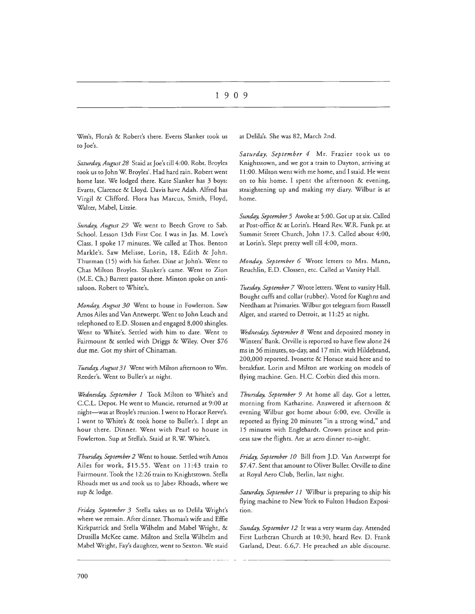Wm's, Flora's & Robert's there. Everts Slanker took us to Joe's.

*Saturday, August 28* Staid at Joe's till 4:00. Robt. Broyles took us to John W. Broyles'. Had hard rain. Robert went home late. We lodged there. Kate Slanker has 3 boys: Evarts, Clarence & Lloyd. Davis have Adah. Alfred has Virgil & Clifford. Flora has Marcus, Smith, Floyd, Walter, Mabel, Lizzie.

*Sunday, August 29* We went to Beech Grove to Sab. School. Lesson 13th First Cor. I was in Jas. M. Love's Class. I spoke 17 minutes. We called at Thos. Benton Markle's. Saw Melisse, Lorin, 18, Edith & John. Thurman (15) with his father. Dine at John's. Went to Chas Milton Broyles. Slanker's came. Went to Zion (M.E. Ch.) Barrett pastor there. Minton spoke on antisaloon. Robert to White's.

*Monday, August 30* Went to house in Fowlerton. Saw Amos Ailes and Van Antwerpt. Went to John Leach and telephoned to E.D. Slossen and engaged 8,000 shingles. Went to White's. Settled with him to date. Went to Fairmount & settled with Driggs & Wiley. Over \$76 due me. Gor my shirt of Chinaman.

Tuesday, August 31 Went with Milton afternoon to Wm. Reeder's. Went to Buller's at night.

*Wednesday, September 1* Took Milton to White's and C.C.L. Depot. He went to Muncie, returned at 9:00 at night-was at Broyle's reunion. I went to Horace Reeve's. I went to White's & took horse to Buller's. I slept an hour there. Dinner. Went with Pearl to house in Fowlerton. Sup at Stella's. Staid at R.W. White's.

*Thursday, September 2* Went to house. Settled wtih Amos Ailes for work, \$15 .55. Went on 11:43 train to Fairmount. Took the 12:26 train to Knightstown. Stella Rhoads met us and took us to Jabez Rhoads, where we sup & lodge.

*Friday, September 3* Stella takes us to Delila Wright's where we remain. After dinner. Thomas's wife and Effie Kirkpatrick and Stella Wilhelm and Mabel Wright, & Drusilla McKee came. Milton and Stella Wilhelm and Mabel Wright, Fay's daughter, went to Sexton. We staid at Delila's. She was 82, March 2nd.

*Saturday, September 4* Mr. Frazier took us to Knightstown, and we got a train to Dayton, arriving at 11:00. Milton went with me home, and I staid. He went on to his home. I spent the afternoon & evening, straightening up and making my diary. Wilbur is at home.

*Sunday, September 5* Awoke at 5:00. Got up at six. Called at Post-office & at Lorin's. Heard Rev. W.R. Funk pr. at Summit Street Church, John 17 .3. Called about 4:00, at Lorin's. Slept pretty well till 4:00, morn.

*Monday, September 6* Wrote letters to Mrs. Mann, Reuchlin, E.D. Clossen, etc. Called at Varsity Hall.

*Tuesday, September 7* Wrote letters. Went to varsity Hall. Bought cuffs and collar (rubber). Voted for Kughns and Needham at Primaries. Wilbur got telegram from Russell Alger, and started to Detroit, at 11:25 at night.

*Wednesday, September 8* Went and deposited money in Winters' Bank. Orville is reported to have flew alone 24 ms in 36 minutes, co-day, and 17 min. with Hildebrand, 200,000 reported. lvonette & Horace staid here and to breakfast. Lorin and Milton are working on models of flying machine. Gen. H.C. Corbin died this morn.

*Thursday, September 9* At home all day. Got a letter, morning from Katharine. Answered it afternoon & evening Wilbur got home about 6:00, eve. Orville is reported as flying 20 minutes "in a strong wind," and 15 minutes with Englehardt. Crown prince and princess saw the flights. Are at aero dinner to-night.

*Friday, September JO* Bill from J.D. Van Antwerpt for \$7.47. Sent that amount to Oliver Buller. Orville to dine at Royal Aero Club, Berlin, last night.

*Saturday, September 11* Wilbur is preparing to ship his flying machine to New York to Fulton Hudson Exposition.

*Sunday, September 12* It was a very warm day. Attended First Lutheran Church at 10:30, heard Rev. D. Frank Garland, Deur. 6.6,7. He preached an able discourse.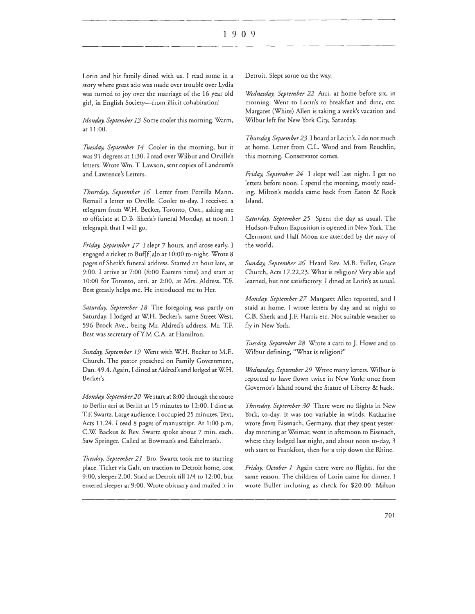Lorin and his family dined wich us. I read some in a scory where great ado was made over trouble over Lydia was turned to joy over the marriage of the 16 year old girl, in English Society-from illicit cohabitation!

*Monday, September 13* Some cooler this morning. Warm, at 11 :00.

*Tuesday, September 14* Cooler in the morning, but it was 91 degrees at 1 :30. I read over Wilbur and Orville's letters. Wrote Wm. T. Lawson, sent copies of Landrum's and Lawrence's Letters.

*Thursday, September 16* Letter from Perrilla Mann. Remail a letter to Orville. Cooler to-day. I received a telegram from W.H. Becker, Toronto, Ont., asking me co officiate at D.B. Sherk's funeral Monday, at noon. I telegraph that I will go.

*Friday, September 17* I slept 7 hours, and arose early. I engaged a ticket co Buf[f]alo at 10:00 to-night. Wrote 8 pages of Sherk's funeral address. Started an hour late, at 9:00. I arrive at 7:00 (8:00 Eastern time) and start at 10:00 for Toronto, arri. ac 2:00, at Mrs. Aldress. T.F. Best greatly helps me. He introduced me to Her.

*Saturday, September 18* The foregoing was partly on Saturday. I lodged at W.H. Becker's, same Street West, 596 Brock Ave., being Mr. Aldred's address. Mr. T.F. Best was secretary ofY.M.C.A. at Hamilton.

*Sunday, September 19* Went wich W.H. Becker to M.E. Church. The pastor preached on Family Government, Dan. 49.4. Again, I dined at Aldred's and lodged at W.H. Becker's.

*Monday, September 20* We start at 8:00 through the route to Berlin arri at Berlin at 15 minutes to 12:00. I dine at T.F. Swartz. Large audience. I occupied 25 minutes, Text, Acts 11.24. I read 8 pages of manuscript. At 1:00 p.m. C.W. Backus & Rev. Swartz spoke about 7 min. each. Saw Springer. Called at Bowman's and Eshelman's.

*Tttesday, September 21* Bro. Swartz took me to starting place. Ticket via Galt, on traction to Detroit home, cost 9:00, sleeper 2.00. Staid at Detroit till 1/4 to 12:00, but entered sleeper ac 9:00. Wrote obituary and mailed ic in Detroit. Slept some on the way.

*Wednesday, September 22* Arri. ac home before six, in morning. Went to Lorin's to breakfast and dine, etc. Margaret (White) Allen is taking a week's vacation and Wilbur left for New York City, Saturday.

Thursday, September 23 I board at Lorin's. I do not much at home. Letter from C.L. Wood and from Reuchlin, this morning. Conservator comes.

*Friday, September 24* I slept well last night. I get no letters before noon. I spend the morning, mostly reading. Milton's models came back from Eaton & Rock Island.

*Saturday, September 25* Spent the day as usual. The Hudson-Fulton Exposition is opened in New York. The Clermont and Half Moon are attended by the navy of the world.

*Sunday, September 26* Heard Rev. M.B. Fuller, Grace Church, Acts 17.22,23. What is religion? Very able and learned, but not satisfactory. I dined at Lorin's as usual.

*Monday, September 27* Margaret Allen reported, and I staid at home. I wrote letters by day and at night to C.B. Sherk and J.F. Harris etc. Not suitable weather to fly in New York.

*Ttiesday, September 28* Wrote a card to J. Howe and to Wilbur defining, "Whac is religion?"

*Wednesday, September 29* Wroce many leccers. Wilbur is reported to have flown twice in New York; once from Governor's Island round the Statue of Liberty & back.

*Thursday, September 30* There were no flights in New York, to-day. It was too variable in winds. Katharine wrote from Eisenach, Germany, that they spent yesterday morning at Weimar, went in afternoon to Eisenach, where they lodged last night, and about noon to-day, 3 oth start to Frankfort, then for a trip down the Rhine.

*Friday, October I* Again there were no flights, for the same reason. The children of Lorin came for dinner. I wrote Buller inclosing as check for \$20.00. Milton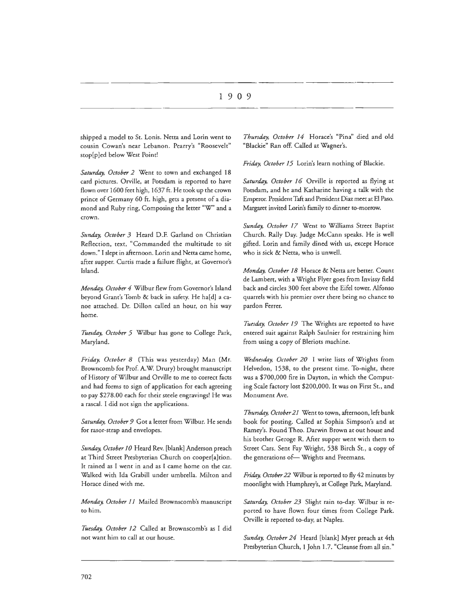shipped a model to St. Lonis. Netta and Lorin went to cousin Cowan's near Lebanon. Pearry's "Roosevelt" stop[p]ed below West Point!

*Saturday, October 2* Went to town and exchanged 18 card pictures. Orville, at Potsdam is reported to have flown over 1600 feet high, 1637 ft. He took up the crown prince of Germany 60 ft. high, gets a present of a diamond and Ruby ring, Composing the letter "W' and a crown.

*Sunday, October 3* Heard D.F. Garland on Christian Reflection, text, "Commanded the multitude to sit down." I slept in afternoon. Lorin and Netta came home, after supper. Curtis made a failure flight, at Governor's Island.

*Monday, October 4* Wilbur flew from Governor's Island beyond Grant's Tomb & back in safety. He ha[d] a canoe attached. Dr. Dillon called an hour, on his way home.

*Tuesday, October 5* Wilbur has gone to College Park, Maryland.

*Friday, October 8* (This was yesterday) Man (Mr. Browncomb for Prof. A.W. Drury) brought manuscript of History of Wilbur and Orville to me to correct facts and had forms to sign of application for each agreeing to pay \$278.00 each for their steele engravings! He was a rascal. I did not sign the applications.

*Saturday, October 9* Got a letter from Wilbur. He sends for rasor-srrap and envelopes.

*Sunday, October 10* Heard Rev. [blank] Anderson preach at Third Street Presbyterian Church on cooper[a]tion. It rained as I went in and as I came home on the car. Walked with Ida Grabill under umbrella. Milton and Horace dined with me.

*Monday, October 11* Mailed Brownscomb's manuscript to him.

*Tuesday, October 12* Called at Brownscomb's as I did not want him to call at our house.

*Thursday, October 14* Horace's "Pina" died and old "Blackie" Ran off. Called at Wagner's.

*Friday, October 15* Lorin's learn nothing of Blackie.

*Saturday, October 16* Orville is reported as flying at Potsdam, and he and Katharine having a talk with the Emperor. President Taft and President Diaz meet at El Paso. Margaret invited Lorin's family to dinner to-morrow.

*Sunday, October 17* Went to Williams Street Baptist Church. Rally Day. Judge McCann speaks. He is well gifted. Lorin and family dined with us, except Horace who is sick & Netta, who is unwell.

*Monday, October 18* Horace & Netta are better. Count de Lambert, with a Wright Flyer goes from lnvissy field back and circles 300 feet above the Eifel tower. Alfonso quarrels with his premier over there being no chance to pardon Ferrer.

*Tuesday, October 19* The Wrights are reported to have entered suit against Ralph Saulnier for restraining him from using a copy of Bleriots machine.

*Wednesday, October 20* I write lists of Wrights from Helvedon, 1538, to the present time. To-night, there was a \$700,000 fire in Dayton, in which the Computing Scale factory lost \$200,000. It was on First St., and Monument Ave.

*Thursday, October 21* Went to town, afternoon, left bank book for posting. Called at Sophia Simpson's and at Ramey's. Found Theo. Darwin Brown at out house and his brother Geroge R. After supper went with them to Street Cars. Sent Fay Wright, 538 Birch St., a copy of the generations of- Wrights and Freemans.

*Friday, October 22* Wilbur is reported to fly 42 minutes by moonlight with Humphrey's, at College Park, Maryland.

*Saturday, October 23* Slight rain to-day. Wilbur is reported to have flown four times from College Park. Orville is reported to-day, at Naples.

*Sunday, October 24* Heard [blank] Myer preach at 4th Presbyterian Church, 1 John 1.7. "Cleanse from all sin."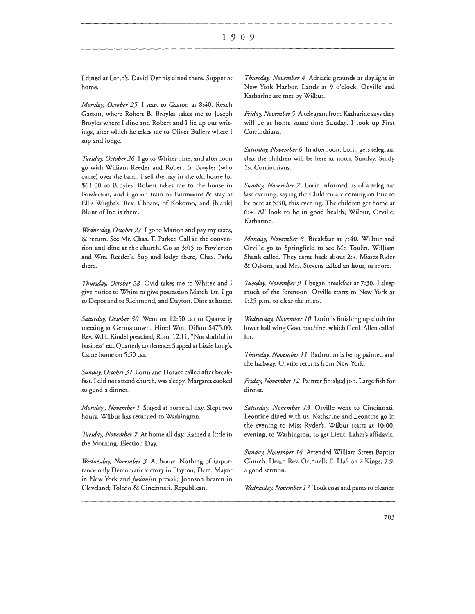#### I 9 0 9

I dined at Lorin's. David Dennis dined there. Supper at home.

*Monday, October 25* I start to Gaston at 8:40. Reach Gaston, where Robert B. Broyles rakes me to Joseph Broyles where I dine and Robert and I fix up our writings, after which he rakes me to Oliver Bullers where I sup and lodge.

*Tuesday, October 26* I go to Whites dine, and afternoon go with William Reeder and Robert B. Broyles (who came) over rhe farm. I sell the hay in the old house for \$61.00 to Broyles. Robert rakes me to the house in Fowlerton, and I go on train to Fairmount & stay at Ellis Wright's. Rev. Choate, of Kokomo, and [blank] Blunt of Ind is there.

*Wednesday, October 27* I go to Marion and pay my taxes, & return. See Mr. Chas. T. Parker. Call in the convention and dine at the church. Go at 3:05 to Fowlerton and Wm. Reeder's. Sup and lodge there, Chas. Parks there.

*Thursday, October 28* Ovid takes me to White's and I give notice co White to give possession March 1st. I go to Depot and to Richmond, and Dayton. Dine at home.

*Saturday, October 30* Wene on 12:50 car to Quarterly meeting at Germantown. Hired Wm. Dillon \$475.00. Rev. W.H. Kindel preached, Rom. 12.11, "Not slothful in business" etc. Quarterly conference. Supped at Lizzie Long's. Came home on 5:30 car.

*Sunday, October 31* Lorin and Horace called after breakfast. I did not attend church, was sleepy. Margaret cooked so good a dinner.

*Monday, November 1* Stayed at home all day. Slept two hours. Wilbur has returned to Washington.

*Tuesday, November 2* At home all day. Rained a little in the Morning. Election Day.

*Wednesday, November 3* At home. Nothing of importance only Democratic victory in Dayton; Dem. Mayor in New York and *fusionists* prevail; Johnson beaten in Cleveland; Toledo & Cincinnati, Republican.

*Thursday, November 4* Adriatic grounds at daylight in New York Harbor. Lands at 9 o'clock. Orville and Katharine are met by Wilbur.

*Friday, November 5* A telegram from Katharine says they will be at home some time Sunday. I took up First Corrinthians.

*Saturday, November 6* In afternoon, Lorin gets telegram that the children will be here at noon, Sunday. Study 1st Corrinthians.

*Sunday, November 7* Lorin informed us of a telegram last evening, saying the Children are coming on Erie to be here at 5:30, this evening. The children get home at 6:+. All look to be in good health; Wilbur, Orville, Katharine.

*Monday, November 8* Breakfast at 7:40. Wilbur and Orville go to Springfield to see Mr. Toulin. William Shank called. They came back about 2:+. Misses Rider & Osborn, and Mrs. Stevens called an hour, or more.

*Tuesday, November 9* I began breakfast at 7:30. I sleep much of the forenoon. Orville starts to New York at 1:25 p.m. to clear the mists.

*Wednesday, November 10* Lorin is finishing up cloth for lower half wing Govt machine, which Genl. Allen called for.

*Thursday, November 11* Bathroom is being painted and the hallway. Orville returns from New York.

*Friday, November 12* Paineer finished job. Large fish for dinner.

*Saturday, November 13* Orville went to Cincinnati. Leontine dined with us. Katharine and Leontine go in the evening to Miss Ryder's. Wilbur starts at 10:00, evening, to Washington, to get Lieut. Lahm's affidavit.

*Sunday, November 14* Attended William Street Baptist Church. Heard Rev. Orthnells E. Hall on 2 Kings, 2.9, a good sermon.

*Wednesday, November 1<sup>7</sup>* Took coat and pants to cleaner.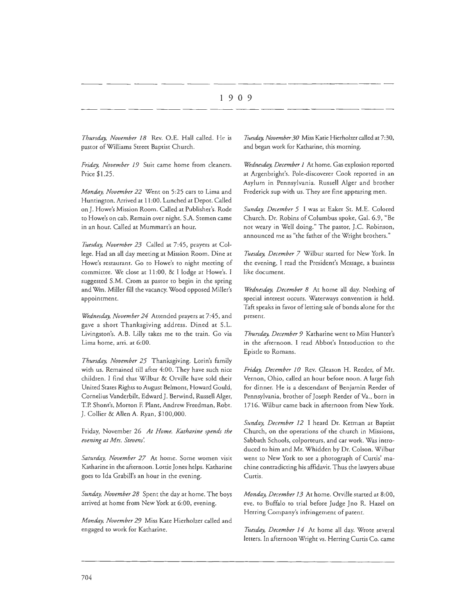*Thursday, November* 18 Rev. O.E. Hall called. He is pastor of Williams Street Baptist Church.

*Friday, November* 19 Suit came home from cleaners. Price \$1.25.

*Monday, November 22* Went on 5:25 cars to Lima and Huntington. Arrived at 11 :00. Lunched at Depot. Called on J. Howe's Mission Room. Called at Publisher's. Rode to Howe's on cab. Remain over night. S.A. Stemen came in an hour. Called at Mummart's an hour.

*Tuesday, November 23* Called at 7:45, prayers at College. Had an all day meeting at Mission Room. Dine at Howe's restaurant. Go to Howe's to night meeting of committee. We close at 11:00, & I lodge at Howe's. I suggested S.M. Crom as pastor to begin in the spring and Wm. Miller fill the vacancy. Wood opposed Miller's appointment.

*Wednesday, November 24* Attended prayers at 7:45, and gave a short Thanksgiving address. Dined at S.L. Livingsron's. A.B. Lilly rakes me to the train. Go via Lima home, arri. at 6:00.

*Thursday, November 25* Thanksgiving. Lorin's family with us. Remained till after 4:00. They have such nice children. I find that Wilbur & Orville have sold their United States Rights to August Belmont, Howard Gould, Cornelius Vanderbilt, Edward J. Berwind, Russell Alger, T.P. Shont's, Morron F. Plant, Andrew Freedman, Robt. J. Collier & Allen A. Ryan, \$100,000.

Friday, November 26 *At Home. Katharine spends the evening at Mrs. Stevem'.* 

*Saturday, November 27* At home. Some women visit Katharine in the afternoon. Lottie Jones helps. Katharine goes to Ida Grabill's an hour in the evening.

*Sunday, November 28* Spent the day at home. The boys arrived at home from New York at 6:00, evening.

*Monday, November 29* Miss Kate Hierholzer called and engaged to work for Katharine.

*Ttwday, November 30* Miss Katie Hierholzer called at 7:30, and began work for Katharine, this morning.

*Wednesday, December* 1 At home. Gas explosion reported at Argenbright's. Pole-discoverer Cook reported in an Asylum in Pennsylvania. Russell Alger and brother Frederick sup with us. They are fine appearing men.

*Sunday, December 5* I was at Eaker St. M.E. Colored Church. Dr. Robins of Columbus spoke, Gal. 6.9, "Be not weary in Well doing." The pastor, J.C. Robinson, announced me as "the father of the Wright brothers."

*Tuesday, December 7* Wilbur started for New York. In the evening, I read the President's Message, a business like document.

*Wednesday, December 8* At home all day. Nothing of special interest occurs. Waterways convention is held. Taft speaks in favor of letting sale of bonds alone for the present.

*Thursday, December 9* Kacharine went to Miss Hunter's in the afternoon. I read Abbot's Introduction to the Epistle to Romans.

*Friday, December JO* Rev. Gleason H. Reeder, of Mt. Vernon, Ohio, called an hour before noon. A large fish for dinner. He is a descendant of Benjamin Reeder of Pennsylvania, brother of Joseph Reeder of Va., born in 1716. Wilbur came back in afternoon from New York.

Sunday, December 12 I heard Dr. Ketman at Baptist Church, on the operations of the church in Missions, Sabbath Schools, colporteurs, and car work. Was introduced to him and Mr. Whidden by Dr. Colson. Wilbur went to New York to see a photograph of Curtis' machine contradicting his affidavit. Thus the lawyers abuse Curtis.

*Monday, December* 13 At home. Orville started at 8:00, eve. to Buffalo to trial before Judge Jno R. Hazel on Herring Company's infringement of patent.

*Tuesday, December 14* At home all day. Wrote several letters. In afternoon Wright vs. Herring Curtis Co. came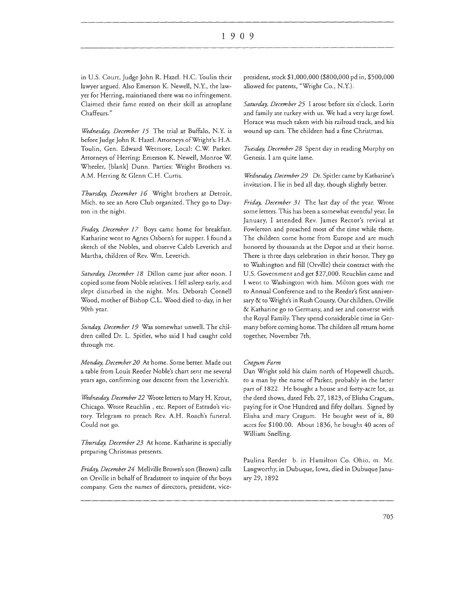in U.S. Court, Judge John R. Hazel. H.C. Toulin their lawyer argued. Also Emerson K. Newell, N.Y., the lawyer for Herring, maintianed there was no infringement. Claimed their fame rested on their skill as aeroplane Chaffeurs."

*Wednesday, December 15* The trial at Buffalo, N.Y. is before Judge John R. Hazel. Attorneys of Wright's: H.A. Toulin, Gen. Edward Wetmore, Local: C.W. Parker. Attorneys of Herring: Emerson K. Newell, Monroe W. Wheeler, [blank] Dunn. Parties: Wright Brothers vs. A.M. Herring & Glenn C.H. Curtis.

*Thursday, December 16* Wright brothers at Detroit, Mich. to see an Aero Club organized. They go to Dayton in the night.

*Friday, December 17* Boys came home for breakfast. Katharine went to Agnes Osborn's for supper. I found a sketch of the Nobles, and observe Caleb Leverich and Martha, children of Rev. Wm. Leverich.

Saturday, December 18 Dillon came just after noon. I copied some from Noble relatives. I fell asleep early, and slept disturbed in the night. Mrs. Deborah Cornell Wood, mother of Bishop C.L. Wood died to-day, in her 90th year.

*Sunday, December 19* Was somewhat unwell. The children called Dr. L. Spider, who said I had caught cold through me.

*Monday, December 20* At home. Some better. Made out a table from Louis Reeder Noble's chart sent me several years ago, confirming our descent from the Leverich's.

*Wednesday, December 22* Wrote letters to Mary H. Krout, Chicago. Wrote Reuchlin , etc. Report of Estrado's victory. Telegram to preach Rev. A.H. Roach's funeral. Could not go.

*Thursday, December 23* At home. Katharine is specially preparing Christmas presents.

*Friday, December 24* Mellville Brown's son (Brown) calls on Orville in behalf of Bradstreet to inquire of the boys company. Gets the names of directors, president, vice-

president, stock \$1,000,000 (\$800,000 pd in, \$500,000 allowed for patents, "Wright Co., N.Y.).

*Saturday, December 25* I arose before six o'clock. Lorin and family ate turkey with us. We had a very large fowl. Horace was much taken with his railroad track, and his wound up cars. The children had a fine Christmas.

*Tuesday, December 28* Spent day in reading Murphy on Genesis. I am quite lame.

Wednesday, December 29 Dr. Spitler came by Katharine's invitation. I lie in bed all day, though slightly better.

*Friday, December 31* The last day of the year. Wrote some letters. This has been a somewhat eventful year. In January, I attended Rev. James Rector's revival at Fowlerton and preached most of the time while there. The children come home from Europe and are much honored by thousands at the Depot and at their home. There is three days celebration in their honor. They go to Washington and fill (Orville) their contract with the U.S. Government and get \$27,000. Reuchlin came and I went to Washington with him. Milton goes with me to Annual Conference and to the Reeder's first anniversary & to Wright's in Rush County. Our children, Orville & Katharine go to Germany, and see and converse with the Royal Family. They spend considerable time in Germany before coming home. The children all return home together, November 7th.

#### Cragum Farm

Dan Wright sold his claim north of Hopewell church, to a man by the name of Parker, probably in the latter part of 1822. He bought a house and forty-acre lot, as the deed shows, dated Feb. 27, 1823, of Elisha Cragum, paying for it One Hundred and fifty dollars. Signed by Elisha and mary Cragum. He bought west of it, 80 acres for \$100.00. About 1836, he bought 40 acres of William Snelling.

Paulina Reeder b. in Hamilton Co. Ohio, m. Mr. Langworthy, in Dubuque, Iowa, died in Dubuque January 29, 1892